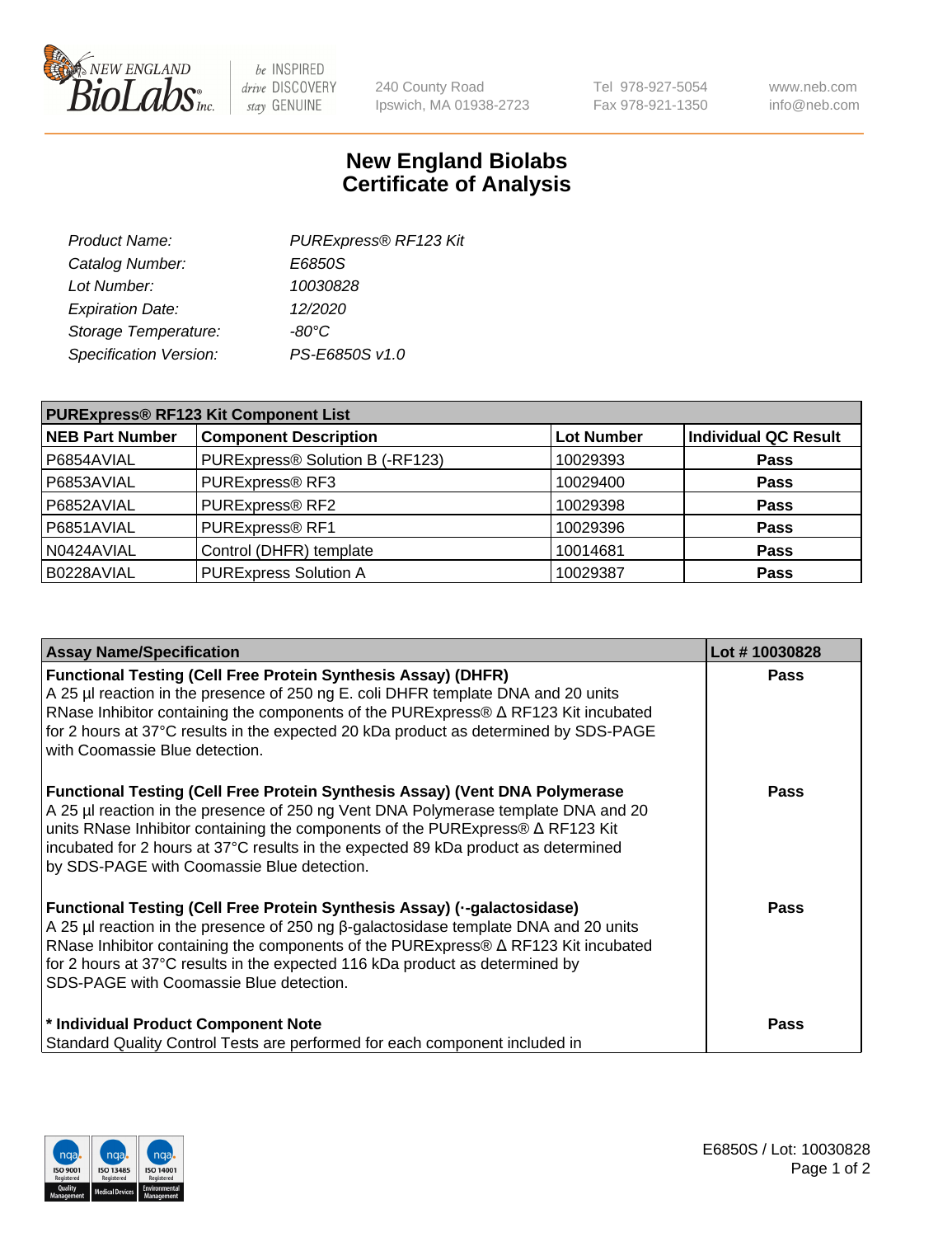

 $be$  INSPIRED drive DISCOVERY stay GENUINE

240 County Road Ipswich, MA 01938-2723 Tel 978-927-5054 Fax 978-921-1350 www.neb.com info@neb.com

## **New England Biolabs Certificate of Analysis**

| Product Name:           | PURExpress® RF123 Kit |
|-------------------------|-----------------------|
| Catalog Number:         | E6850S                |
| Lot Number:             | 10030828              |
| <b>Expiration Date:</b> | 12/2020               |
| Storage Temperature:    | $-80^{\circ}$ C       |
| Specification Version:  | PS-E6850S v1.0        |
|                         |                       |

| <b>PURExpress® RF123 Kit Component List</b> |                                 |                   |                             |  |
|---------------------------------------------|---------------------------------|-------------------|-----------------------------|--|
| <b>NEB Part Number</b>                      | <b>Component Description</b>    | <b>Lot Number</b> | <b>Individual QC Result</b> |  |
| P6854AVIAL                                  | PURExpress® Solution B (-RF123) | 10029393          | <b>Pass</b>                 |  |
| P6853AVIAL                                  | PURExpress® RF3                 | 10029400          | <b>Pass</b>                 |  |
| P6852AVIAL                                  | PURExpress® RF2                 | 10029398          | <b>Pass</b>                 |  |
| P6851AVIAL                                  | PURExpress® RF1                 | 10029396          | <b>Pass</b>                 |  |
| N0424AVIAL                                  | Control (DHFR) template         | 10014681          | <b>Pass</b>                 |  |
| B0228AVIAL                                  | <b>PURExpress Solution A</b>    | 10029387          | <b>Pass</b>                 |  |

| <b>Assay Name/Specification</b>                                                                                                                                                                                                                                                                                                                                                                 | Lot #10030828 |
|-------------------------------------------------------------------------------------------------------------------------------------------------------------------------------------------------------------------------------------------------------------------------------------------------------------------------------------------------------------------------------------------------|---------------|
| <b>Functional Testing (Cell Free Protein Synthesis Assay) (DHFR)</b><br>A 25 µl reaction in the presence of 250 ng E. coli DHFR template DNA and 20 units<br>RNase Inhibitor containing the components of the PURExpress® ∆ RF123 Kit incubated<br>for 2 hours at 37°C results in the expected 20 kDa product as determined by SDS-PAGE<br>with Coomassie Blue detection.                       | <b>Pass</b>   |
| Functional Testing (Cell Free Protein Synthesis Assay) (Vent DNA Polymerase<br>A 25 µl reaction in the presence of 250 ng Vent DNA Polymerase template DNA and 20<br>units RNase Inhibitor containing the components of the PURExpress® ∆ RF123 Kit<br>incubated for 2 hours at 37°C results in the expected 89 kDa product as determined<br>by SDS-PAGE with Coomassie Blue detection.         | <b>Pass</b>   |
| Functional Testing (Cell Free Protein Synthesis Assay) (--galactosidase)<br>A 25 µl reaction in the presence of 250 ng $\beta$ -galactosidase template DNA and 20 units<br>RNase Inhibitor containing the components of the PURExpress® $\Delta$ RF123 Kit incubated<br>for 2 hours at 37°C results in the expected 116 kDa product as determined by<br>SDS-PAGE with Coomassie Blue detection. | <b>Pass</b>   |
| * Individual Product Component Note<br>Standard Quality Control Tests are performed for each component included in                                                                                                                                                                                                                                                                              | <b>Pass</b>   |